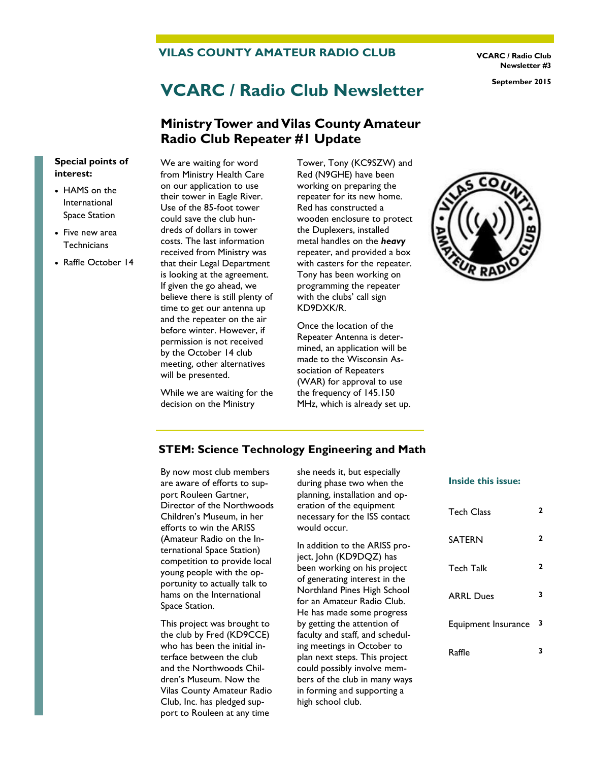#### **VILAS COUNTY AMATEUR RADIO CLUB**

**VCARC / Radio Club Newsletter #3**

# **VCARC / Radio Club Newsletter September 2015**

### **Ministry Tower and Vilas County Amateur Radio Club Repeater #1 Update**

#### **Special points of interest:**

- HAMS on the International Space Station
- Five new area **Technicians**
- Raffle October 14

We are waiting for word from Ministry Health Care on our application to use their tower in Eagle River. Use of the 85-foot tower could save the club hundreds of dollars in tower costs. The last information received from Ministry was that their Legal Department is looking at the agreement. If given the go ahead, we believe there is still plenty of time to get our antenna up and the repeater on the air before winter. However, if permission is not received by the October 14 club meeting, other alternatives will be presented.

While we are waiting for the decision on the Ministry

Tower, Tony (KC9SZW) and Red (N9GHE) have been working on preparing the repeater for its new home. Red has constructed a wooden enclosure to protect the Duplexers, installed metal handles on the *heavy*  repeater, and provided a box with casters for the repeater. Tony has been working on programming the repeater with the clubs' call sign KD9DXK/R.

Once the location of the Repeater Antenna is determined, an application will be made to the Wisconsin Association of Repeaters (WAR) for approval to use the frequency of 145.150 MHz, which is already set up.



#### **STEM: Science Technology Engineering and Math**

By now most club members are aware of efforts to support Rouleen Gartner, Director of the Northwoods Children's Museum, in her efforts to win the ARISS (Amateur Radio on the International Space Station) competition to provide local young people with the opportunity to actually talk to hams on the International Space Station.

This project was brought to the club by Fred (KD9CCE) who has been the initial interface between the club and the Northwoods Children's Museum. Now the Vilas County Amateur Radio Club, Inc. has pledged support to Rouleen at any time

she needs it, but especially during phase two when the planning, installation and operation of the equipment necessary for the ISS contact would occur.

In addition to the ARISS project, John (KD9DQZ) has been working on his project of generating interest in the Northland Pines High School for an Amateur Radio Club. He has made some progress by getting the attention of faculty and staff, and scheduling meetings in October to plan next steps. This project could possibly involve members of the club in many ways in forming and supporting a high school club.

# **Inside this issue:**

| <b>Tech Class</b>   | 2 |
|---------------------|---|
| SATERN              | 2 |
| Tech Talk           | 2 |
| <b>ARRL Dues</b>    | 3 |
| Equipment Insurance | 3 |
| Raffie              | 3 |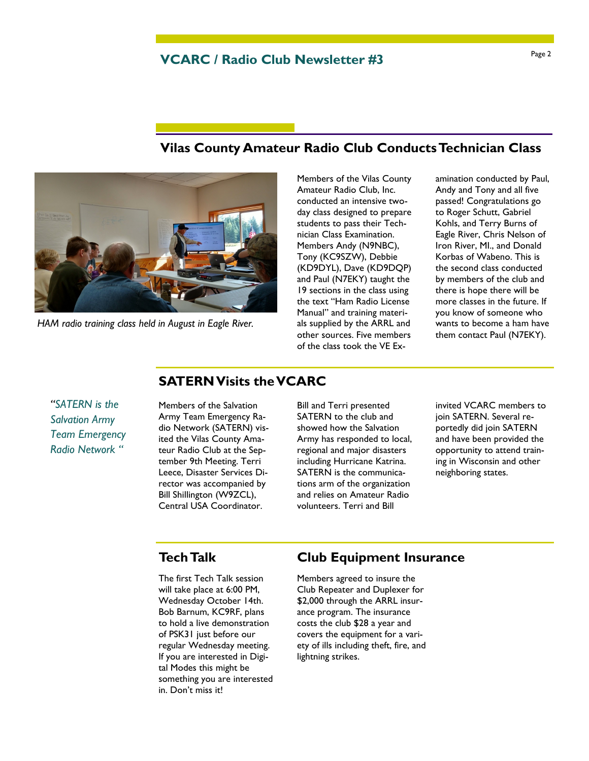## **VCARC / Radio Club Newsletter #3**

### **Vilas County Amateur Radio Club Conducts Technician Class**



*HAM radio training class held in August in Eagle River.*

Members of the Vilas County Amateur Radio Club, Inc. conducted an intensive twoday class designed to prepare students to pass their Technician Class Examination. Members Andy (N9NBC), Tony (KC9SZW), Debbie (KD9DYL), Dave (KD9DQP) and Paul (N7EKY) taught the 19 sections in the class using the text "Ham Radio License Manual" and training materials supplied by the ARRL and other sources. Five members of the class took the VE Ex-

amination conducted by Paul, Andy and Tony and all five passed! Congratulations go to Roger Schutt, Gabriel Kohls, and Terry Burns of Eagle River, Chris Nelson of Iron River, MI., and Donald Korbas of Wabeno. This is the second class conducted by members of the club and there is hope there will be more classes in the future. If you know of someone who wants to become a ham have them contact Paul (N7EKY).

#### *"SATERN is the Salvation Army Team Emergency Radio Network "*

Members of the Salvation Army Team Emergency Radio Network (SATERN) visited the Vilas County Amateur Radio Club at the September 9th Meeting. Terri Leece, Disaster Services Director was accompanied by Bill Shillington (W9ZCL), Central USA Coordinator.

**SATERN Visits the VCARC** 

Bill and Terri presented SATERN to the club and showed how the Salvation Army has responded to local, regional and major disasters including Hurricane Katrina. SATERN is the communications arm of the organization and relies on Amateur Radio volunteers. Terri and Bill

invited VCARC members to join SATERN. Several reportedly did join SATERN and have been provided the opportunity to attend training in Wisconsin and other neighboring states.

# **Tech Talk**

The first Tech Talk session will take place at 6:00 PM, Wednesday October 14th. Bob Barnum, KC9RF, plans to hold a live demonstration of PSK31 just before our regular Wednesday meeting. If you are interested in Digital Modes this might be something you are interested in. Don't miss it!

# **Club Equipment Insurance**

Members agreed to insure the Club Repeater and Duplexer for \$2,000 through the ARRL insurance program. The insurance costs the club \$28 a year and covers the equipment for a variety of ills including theft, fire, and lightning strikes.

#### Page 2